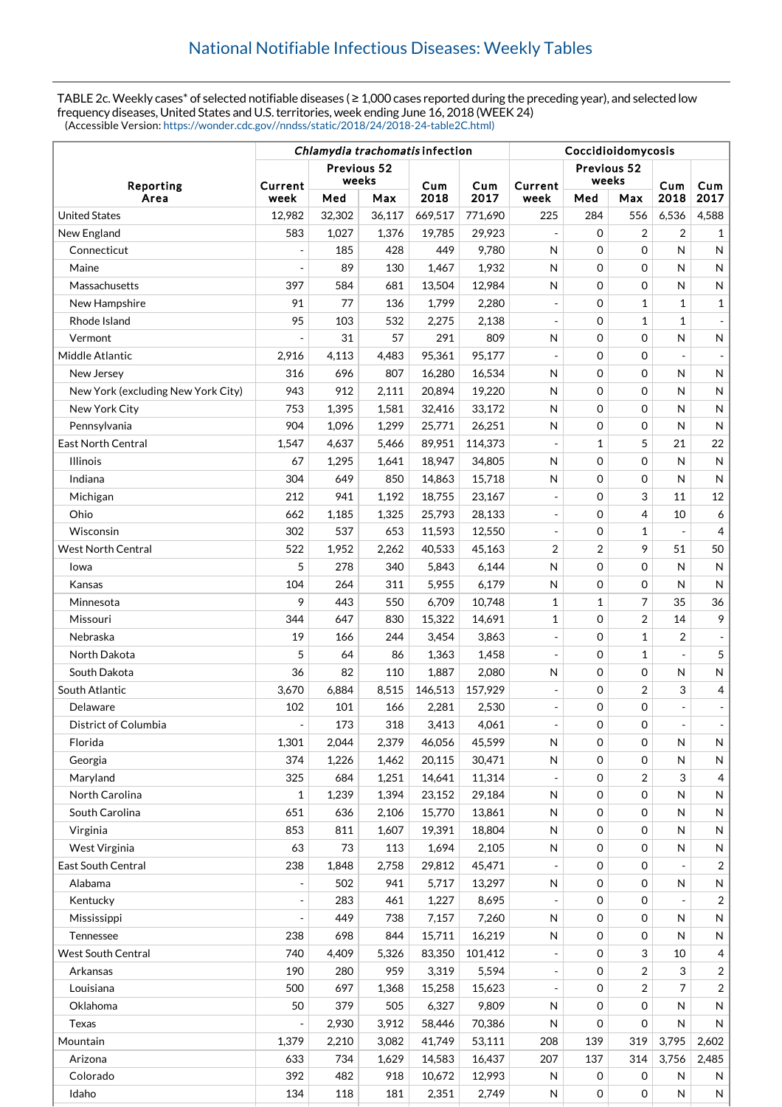TABLE 2c. Weekly cases\* of selected notifiable diseases ( ≥ 1,000 cases reported during the preceding year), and selected low frequency diseases, United States and U.S. territories, week ending June 16, 2018 (WEEK 24) (Accessible Version: [https://wonder.cdc.gov//nndss/static/2018/24/2018-24-table2C.html\)](https://wonder.cdc.gov//nndss/static/2018/24/2018-24-table2C.html)

|                                    | Chlamydia trachomatis infection |        |        |         |         | Coccidioidomycosis       |             |                |                |                |
|------------------------------------|---------------------------------|--------|--------|---------|---------|--------------------------|-------------|----------------|----------------|----------------|
| Reporting                          | Previous 52                     |        |        |         |         | Previous 52              |             |                |                |                |
|                                    | Current                         | weeks  |        | Cum     | Cum     | Current                  | weeks       |                | Cum            | Cum            |
| Area                               | week                            | Med    | Max    | 2018    | 2017    | week                     | Med         | Max            | 2018           | 2017           |
| <b>United States</b>               | 12,982                          | 32,302 | 36,117 | 669,517 | 771,690 | 225                      | 284         | 556            | 6,536          | 4,588          |
| New England                        | 583                             | 1,027  | 1,376  | 19,785  | 29,923  |                          | $\mathbf 0$ | 2              | 2              | 1              |
| Connecticut                        | $\overline{\phantom{a}}$        | 185    | 428    | 449     | 9,780   | N                        | 0           | 0              | N              | N              |
| Maine                              | $\overline{a}$                  | 89     | 130    | 1,467   | 1,932   | N                        | 0           | 0              | N              | N              |
| Massachusetts                      | 397                             | 584    | 681    | 13,504  | 12,984  | N                        | $\mathbf 0$ | 0              | N              | N              |
| New Hampshire                      | 91                              | 77     | 136    | 1,799   | 2,280   |                          | $\mathbf 0$ | $\mathbf{1}$   | $\mathbf{1}$   | 1              |
| Rhode Island                       | 95                              | 103    | 532    | 2,275   | 2,138   |                          | $\mathbf 0$ | $\mathbf{1}$   | $\mathbf{1}$   |                |
| Vermont                            |                                 | 31     | 57     | 291     | 809     | N                        | $\mathbf 0$ | 0              | N              | N              |
| Middle Atlantic                    | 2,916                           | 4,113  | 4,483  | 95,361  | 95,177  | $\bar{\phantom{a}}$      | $\mathbf 0$ | $\Omega$       |                |                |
| New Jersey                         | 316                             | 696    | 807    | 16,280  | 16,534  | N                        | $\mathbf 0$ | 0              | N              | N              |
| New York (excluding New York City) | 943                             | 912    | 2,111  | 20,894  | 19,220  | Ν                        | 0           | 0              | N              | N              |
| New York City                      | 753                             | 1,395  | 1,581  | 32,416  | 33,172  | N                        | $\mathbf 0$ | 0              | N              | N              |
| Pennsylvania                       | 904                             | 1,096  | 1,299  | 25,771  | 26,251  | N                        | $\mathbf 0$ | 0              | N              | $\mathsf{N}$   |
| <b>East North Central</b>          | 1,547                           | 4,637  | 5,466  | 89,951  | 114,373 |                          | 1           | 5              | 21             | 22             |
| <b>Illinois</b>                    | 67                              | 1,295  | 1,641  | 18,947  | 34,805  | N                        | $\mathbf 0$ | 0              | N              | $\mathsf{N}$   |
| Indiana                            | 304                             | 649    | 850    | 14,863  | 15,718  | N                        | $\mathbf 0$ | 0              | N              | N              |
| Michigan                           | 212                             | 941    | 1,192  | 18,755  | 23,167  | $\overline{\phantom{a}}$ | 0           | 3              | 11             | 12             |
| Ohio                               | 662                             | 1,185  | 1,325  | 25,793  | 28,133  | $\overline{a}$           | $\mathbf 0$ | 4              | 10             | 6              |
| Wisconsin                          | 302                             | 537    | 653    | 11,593  | 12,550  | $\overline{a}$           | $\mathbf 0$ | $\mathbf{1}$   |                | $\overline{4}$ |
| West North Central                 | 522                             | 1,952  | 2,262  | 40,533  | 45,163  | 2                        | 2           | 9              | 51             | 50             |
| Iowa                               | 5                               | 278    | 340    | 5,843   | 6,144   | N                        | 0           | 0              | N              | N              |
| Kansas                             | 104                             | 264    | 311    | 5,955   | 6,179   | N                        | $\mathbf 0$ | 0              | N              | $\mathsf{N}$   |
| Minnesota                          | 9                               | 443    | 550    | 6,709   | 10,748  | 1                        | 1           | $\overline{7}$ | 35             | 36             |
| Missouri                           | 344                             | 647    | 830    | 15,322  | 14,691  | 1                        | $\mathbf 0$ | $\overline{2}$ | 14             | 9              |
| Nebraska                           | 19                              | 166    | 244    | 3,454   | 3,863   | $\overline{\phantom{a}}$ | $\mathbf 0$ | $\mathbf{1}$   | 2              |                |
| North Dakota                       | 5                               | 64     | 86     | 1,363   | 1,458   | $\blacksquare$           | 0           | $\mathbf{1}$   | $\overline{a}$ | 5              |
| South Dakota                       | 36                              | 82     | 110    | 1,887   | 2,080   | N                        | $\mathbf 0$ | 0              | N              | N              |
| South Atlantic                     | 3,670                           | 6,884  | 8,515  | 146,513 | 157,929 | ÷,                       | $\mathbf 0$ | $\overline{2}$ | 3              | 4              |
| Delaware                           | 102                             | 101    | 166    | 2,281   | 2,530   | ÷                        | 0           | 0              | $\overline{a}$ |                |
| District of Columbia               |                                 | 173    | 318    | 3,413   | 4,061   |                          | 0           | 0              |                |                |
| Florida                            | 1,301                           | 2,044  | 2,379  | 46,056  | 45,599  | N                        | 0           | 0              | N              | N              |
| Georgia                            | 374                             | 1,226  | 1,462  | 20,115  | 30,471  | N                        | $\mathbf 0$ | 0              | N              | N              |
| Maryland                           | 325                             | 684    | 1,251  | 14,641  | 11,314  |                          | 0           | $\overline{c}$ | 3              | 4              |
| North Carolina                     | 1                               | 1,239  | 1,394  | 23,152  | 29,184  | N                        | 0           | 0              | N              | N              |
| South Carolina                     | 651                             | 636    | 2,106  | 15,770  | 13,861  | Ν                        | $\mathbf 0$ | 0              | N              | N              |
| Virginia                           | 853                             | 811    | 1,607  | 19,391  | 18,804  | N                        | 0           | 0              | N              | N              |
| West Virginia                      | 63                              | 73     | 113    | 1,694   | 2,105   | Ν                        | 0           | 0              | N              | N              |
| East South Central                 | 238                             | 1,848  | 2,758  | 29,812  | 45,471  |                          | 0           | 0              |                | 2              |
| Alabama                            |                                 | 502    | 941    | 5,717   | 13,297  | N                        | 0           | 0              | N              | N              |
| Kentucky                           |                                 | 283    | 461    | 1,227   | 8,695   |                          | 0           | 0              |                | 2              |
| Mississippi                        |                                 | 449    | 738    | 7,157   | 7,260   | N                        | 0           | 0              | N              | N              |
| Tennessee                          | 238                             | 698    | 844    | 15,711  | 16,219  | N                        | 0           | 0              | N              | N              |
| <b>West South Central</b>          | 740                             | 4,409  | 5,326  | 83,350  | 101,412 |                          | 0           | 3              | 10             | 4              |
| Arkansas                           | 190                             | 280    | 959    | 3,319   | 5,594   |                          | 0           | $\overline{2}$ | 3              | 2              |
| Louisiana                          | 500                             | 697    | 1,368  | 15,258  | 15,623  |                          | 0           | $\overline{2}$ | 7              | $\overline{c}$ |
| Oklahoma                           | 50                              | 379    | 505    | 6,327   | 9,809   | Ν                        | $\mathbf 0$ | 0              | N              | N              |
| Texas                              |                                 | 2,930  | 3,912  | 58,446  | 70,386  | N                        | 0           | 0              | N              | N              |
| Mountain                           | 1,379                           | 2,210  | 3,082  | 41,749  | 53,111  | 208                      | 139         | 319            | 3,795          | 2,602          |
| Arizona                            | 633                             | 734    | 1,629  | 14,583  | 16,437  | 207                      | 137         | 314            | 3,756          | 2,485          |
| Colorado                           | 392                             | 482    | 918    | 10,672  | 12,993  | N                        | 0           | 0              | N              | N              |
| Idaho                              | 134                             | 118    | 181    | 2,351   | 2,749   | N                        | $\mathbf 0$ | 0              | N              | N              |